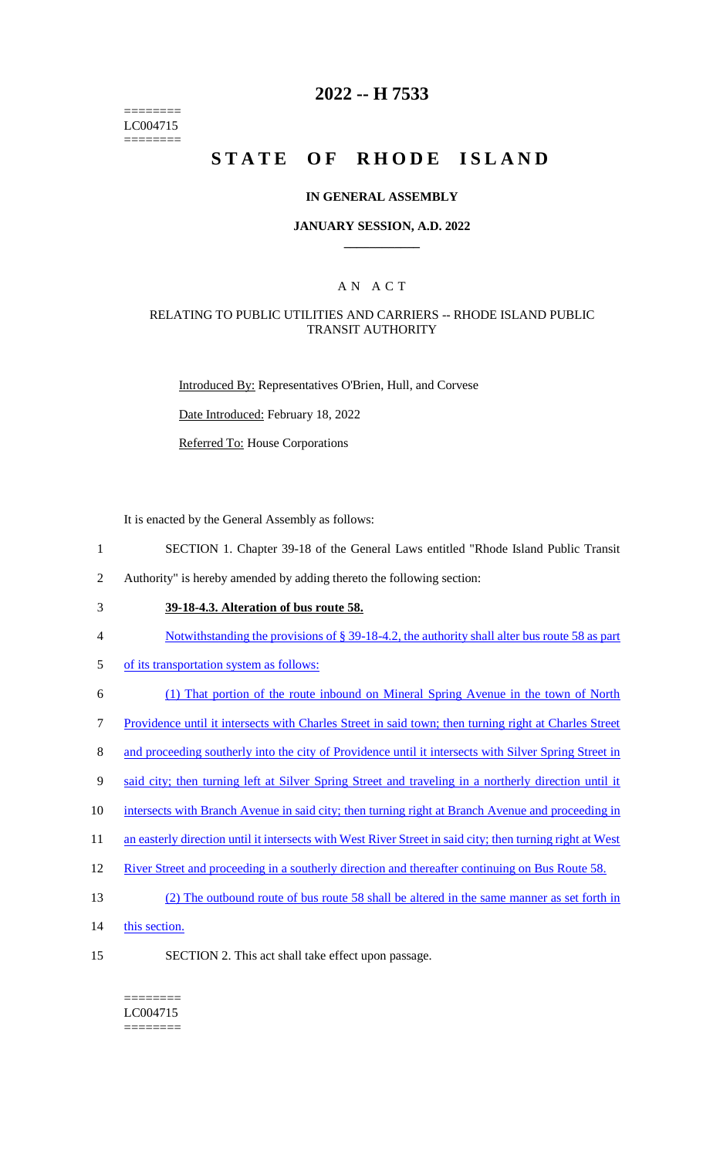======== LC004715 ========

# **2022 -- H 7533**

# **STATE OF RHODE ISLAND**

#### **IN GENERAL ASSEMBLY**

#### **JANUARY SESSION, A.D. 2022 \_\_\_\_\_\_\_\_\_\_\_\_**

### A N A C T

#### RELATING TO PUBLIC UTILITIES AND CARRIERS -- RHODE ISLAND PUBLIC TRANSIT AUTHORITY

Introduced By: Representatives O'Brien, Hull, and Corvese

Date Introduced: February 18, 2022

Referred To: House Corporations

It is enacted by the General Assembly as follows:

- 1 SECTION 1. Chapter 39-18 of the General Laws entitled "Rhode Island Public Transit
- 2 Authority" is hereby amended by adding thereto the following section:
- 3 **39-18-4.3. Alteration of bus route 58.**
- 4 Notwithstanding the provisions of § 39-18-4.2, the authority shall alter bus route 58 as part
- 5 of its transportation system as follows:
- 6 (1) That portion of the route inbound on Mineral Spring Avenue in the town of North
- 7 Providence until it intersects with Charles Street in said town; then turning right at Charles Street
- 8 and proceeding southerly into the city of Providence until it intersects with Silver Spring Street in
- 9 said city; then turning left at Silver Spring Street and traveling in a northerly direction until it
- 10 intersects with Branch Avenue in said city; then turning right at Branch Avenue and proceeding in
- 11 an easterly direction until it intersects with West River Street in said city; then turning right at West
- 12 River Street and proceeding in a southerly direction and thereafter continuing on Bus Route 58.
- 13 (2) The outbound route of bus route 58 shall be altered in the same manner as set forth in
- 14 this section.
- 
- 15 SECTION 2. This act shall take effect upon passage.
	- ======== LC004715 ========